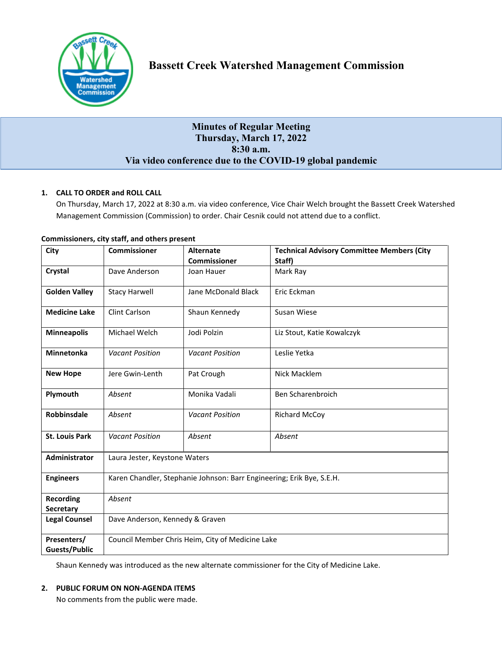

# **Minutes of Regular Meeting Thursday, March 17, 2022 8:30 a.m. Via video conference due to the COVID-19 global pandemic**

# **1. CALL TO ORDER and ROLL CALL**

On Thursday, March 17, 2022 at 8:30 a.m. via video conference, Vice Chair Welch brought the Bassett Creek Watershed Management Commission (Commission) to order. Chair Cesnik could not attend due to a conflict.

| City                                | <b>Commissioner</b>                                                   | <b>Alternate</b>       | <b>Technical Advisory Committee Members (City</b> |
|-------------------------------------|-----------------------------------------------------------------------|------------------------|---------------------------------------------------|
|                                     |                                                                       | <b>Commissioner</b>    | Staff)                                            |
| Crystal                             | Dave Anderson                                                         | Joan Hauer             | Mark Ray                                          |
| <b>Golden Valley</b>                | <b>Stacy Harwell</b>                                                  | Jane McDonald Black    | Eric Eckman                                       |
| <b>Medicine Lake</b>                | Clint Carlson                                                         | Shaun Kennedy          | Susan Wiese                                       |
| <b>Minneapolis</b>                  | Michael Welch                                                         | Jodi Polzin            | Liz Stout, Katie Kowalczyk                        |
| Minnetonka                          | <b>Vacant Position</b>                                                | <b>Vacant Position</b> | Leslie Yetka                                      |
| <b>New Hope</b>                     | Jere Gwin-Lenth                                                       | Pat Crough             | Nick Macklem                                      |
| Plymouth                            | Absent                                                                | Monika Vadali          | Ben Scharenbroich                                 |
| Robbinsdale                         | Absent                                                                | <b>Vacant Position</b> | <b>Richard McCoy</b>                              |
| <b>St. Louis Park</b>               | <b>Vacant Position</b>                                                | Absent                 | Absent                                            |
| Administrator                       | Laura Jester, Keystone Waters                                         |                        |                                                   |
| <b>Engineers</b>                    | Karen Chandler, Stephanie Johnson: Barr Engineering; Erik Bye, S.E.H. |                        |                                                   |
| <b>Recording</b>                    | Absent                                                                |                        |                                                   |
| Secretary                           |                                                                       |                        |                                                   |
| <b>Legal Counsel</b>                | Dave Anderson, Kennedy & Graven                                       |                        |                                                   |
| Presenters/<br><b>Guests/Public</b> | Council Member Chris Heim, City of Medicine Lake                      |                        |                                                   |

# **Commissioners, city staff, and others present**

Shaun Kennedy was introduced as the new alternate commissioner for the City of Medicine Lake.

# **2. PUBLIC FORUM ON NON-AGENDA ITEMS**

No comments from the public were made.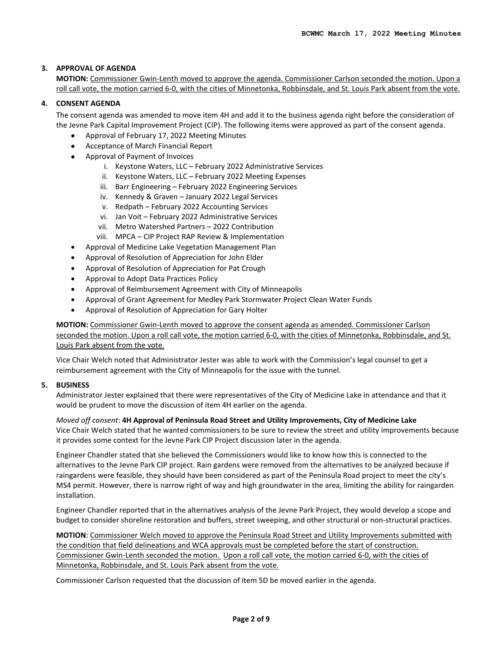# **3. APPROVAL OF AGENDA**

**MOTION:** Commissioner Gwin-Lenth moved to approve the agenda. Commissioner Carlson seconded the motion. Upon a roll call vote, the motion carried 6-0, with the cities of Minnetonka, Robbinsdale, and St. Louis Park absent from the vote.

### **4. CONSENT AGENDA**

The consent agenda was amended to move item 4H and add it to the business agenda right before the consideration of the Jevne Park Capital Improvement Project (CIP). The following items were approved as part of the consent agenda.

- Approval of February 17, 2022 Meeting Minutes
- Acceptance of March Financial Report
- Approval of Payment of Invoices
	- i. Keystone Waters, LLC February 2022 Administrative Services
	- ii. Keystone Waters, LLC February 2022 Meeting Expenses
	- iii. Barr Engineering February 2022 Engineering Services
	- iv. Kennedy & Graven January 2022 Legal Services
	- v. Redpath February 2022 Accounting Services
	- vi. Jan Voit February 2022 Administrative Services
	- vii. Metro Watershed Partners 2022 Contribution
	- viii. MPCA CIP Project RAP Review & Implementation
- Approval of Medicine Lake Vegetation Management Plan
- Approval of Resolution of Appreciation for John Elder
- Approval of Resolution of Appreciation for Pat Crough
- Approval to Adopt Data Practices Policy
- Approval of Reimbursement Agreement with City of Minneapolis
- Approval of Grant Agreement for Medley Park Stormwater Project Clean Water Funds
- Approval of Resolution of Appreciation for Gary Holter

**MOTION:** Commissioner Gwin-Lenth moved to approve the consent agenda as amended. Commissioner Carlson seconded the motion. Upon a roll call vote, the motion carried 6-0, with the cities of Minnetonka, Robbinsdale, and St. Louis Park absent from the vote.

Vice Chair Welch noted that Administrator Jester was able to work with the Commission's legal counsel to get a reimbursement agreement with the City of Minneapolis for the issue with the tunnel.

# **5. BUSINESS**

Administrator Jester explained that there were representatives of the City of Medicine Lake in attendance and that it would be prudent to move the discussion of item 4H earlier on the agenda.

*Moved off consent*: **4H Approval of Peninsula Road Street and Utility Improvements, City of Medicine Lake** Vice Chair Welch stated that he wanted commissioners to be sure to review the street and utility improvements because it provides some context for the Jevne Park CIP Project discussion later in the agenda.

Engineer Chandler stated that she believed the Commissioners would like to know how this is connected to the alternatives to the Jevne Park CIP project. Rain gardens were removed from the alternatives to be analyzed because if raingardens were feasible, they should have been considered as part of the Peninsula Road project to meet the city's MS4 permit. However, there is narrow right of way and high groundwater in the area, limiting the ability for raingarden installation.

Engineer Chandler reported that in the alternatives analysis of the Jevne Park Project, they would develop a scope and budget to consider shoreline restoration and buffers, street sweeping, and other structural or non-structural practices.

**MOTION**: Commissioner Welch moved to approve the Peninsula Road Street and Utility Improvements submitted with the condition that field delineations and WCA approvals must be completed before the start of construction. Commissioner Gwin-Lenth seconded the motion. Upon a roll call vote, the motion carried 6-0, with the cities of Minnetonka, Robbinsdale, and St. Louis Park absent from the vote.

Commissioner Carlson requested that the discussion of item 5D be moved earlier in the agenda.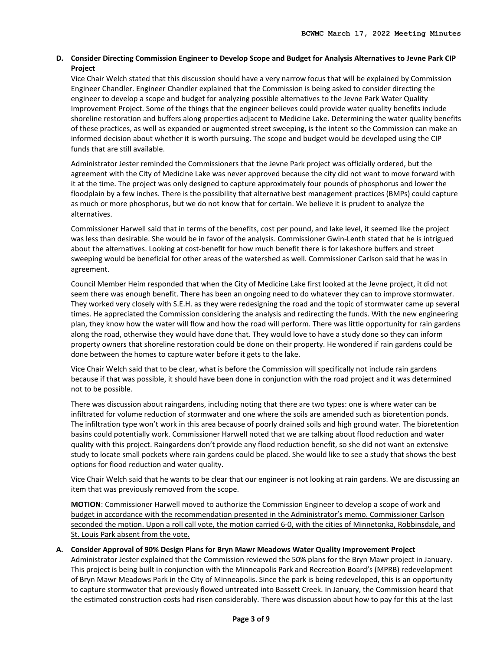# **D. Consider Directing Commission Engineer to Develop Scope and Budget for Analysis Alternatives to Jevne Park CIP Project**

Vice Chair Welch stated that this discussion should have a very narrow focus that will be explained by Commission Engineer Chandler. Engineer Chandler explained that the Commission is being asked to consider directing the engineer to develop a scope and budget for analyzing possible alternatives to the Jevne Park Water Quality Improvement Project. Some of the things that the engineer believes could provide water quality benefits include shoreline restoration and buffers along properties adjacent to Medicine Lake. Determining the water quality benefits of these practices, as well as expanded or augmented street sweeping, is the intent so the Commission can make an informed decision about whether it is worth pursuing. The scope and budget would be developed using the CIP funds that are still available.

Administrator Jester reminded the Commissioners that the Jevne Park project was officially ordered, but the agreement with the City of Medicine Lake was never approved because the city did not want to move forward with it at the time. The project was only designed to capture approximately four pounds of phosphorus and lower the floodplain by a few inches. There is the possibility that alternative best management practices (BMPs) could capture as much or more phosphorus, but we do not know that for certain. We believe it is prudent to analyze the alternatives.

Commissioner Harwell said that in terms of the benefits, cost per pound, and lake level, it seemed like the project was less than desirable. She would be in favor of the analysis. Commissioner Gwin-Lenth stated that he is intrigued about the alternatives. Looking at cost-benefit for how much benefit there is for lakeshore buffers and street sweeping would be beneficial for other areas of the watershed as well. Commissioner Carlson said that he was in agreement.

Council Member Heim responded that when the City of Medicine Lake first looked at the Jevne project, it did not seem there was enough benefit. There has been an ongoing need to do whatever they can to improve stormwater. They worked very closely with S.E.H. as they were redesigning the road and the topic of stormwater came up several times. He appreciated the Commission considering the analysis and redirecting the funds. With the new engineering plan, they know how the water will flow and how the road will perform. There was little opportunity for rain gardens along the road, otherwise they would have done that. They would love to have a study done so they can inform property owners that shoreline restoration could be done on their property. He wondered if rain gardens could be done between the homes to capture water before it gets to the lake.

Vice Chair Welch said that to be clear, what is before the Commission will specifically not include rain gardens because if that was possible, it should have been done in conjunction with the road project and it was determined not to be possible.

There was discussion about raingardens, including noting that there are two types: one is where water can be infiltrated for volume reduction of stormwater and one where the soils are amended such as bioretention ponds. The infiltration type won't work in this area because of poorly drained soils and high ground water. The bioretention basins could potentially work. Commissioner Harwell noted that we are talking about flood reduction and water quality with this project. Raingardens don't provide any flood reduction benefit, so she did not want an extensive study to locate small pockets where rain gardens could be placed. She would like to see a study that shows the best options for flood reduction and water quality.

Vice Chair Welch said that he wants to be clear that our engineer is not looking at rain gardens. We are discussing an item that was previously removed from the scope.

**MOTION**: Commissioner Harwell moved to authorize the Commission Engineer to develop a scope of work and budget in accordance with the recommendation presented in the Administrator's memo. Commissioner Carlson seconded the motion. Upon a roll call vote, the motion carried 6-0, with the cities of Minnetonka, Robbinsdale, and St. Louis Park absent from the vote.

# **A. Consider Approval of 90% Design Plans for Bryn Mawr Meadows Water Quality Improvement Project**

Administrator Jester explained that the Commission reviewed the 50% plans for the Bryn Mawr project in January. This project is being built in conjunction with the Minneapolis Park and Recreation Board's (MPRB) redevelopment of Bryn Mawr Meadows Park in the City of Minneapolis. Since the park is being redeveloped, this is an opportunity to capture stormwater that previously flowed untreated into Bassett Creek. In January, the Commission heard that the estimated construction costs had risen considerably. There was discussion about how to pay for this at the last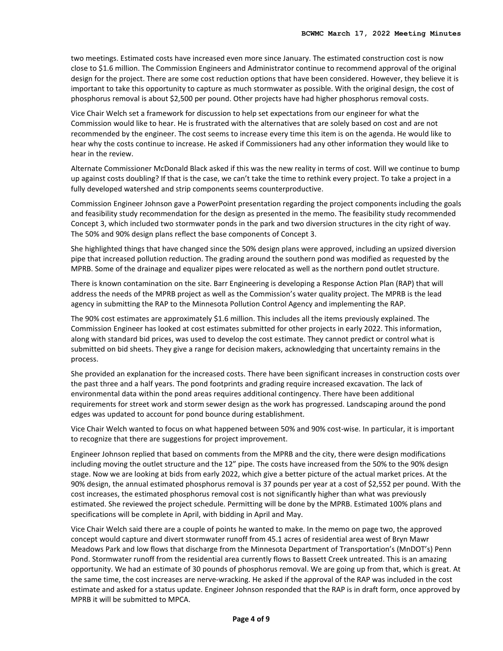two meetings. Estimated costs have increased even more since January. The estimated construction cost is now close to \$1.6 million. The Commission Engineers and Administrator continue to recommend approval of the original design for the project. There are some cost reduction options that have been considered. However, they believe it is important to take this opportunity to capture as much stormwater as possible. With the original design, the cost of phosphorus removal is about \$2,500 per pound. Other projects have had higher phosphorus removal costs.

Vice Chair Welch set a framework for discussion to help set expectations from our engineer for what the Commission would like to hear. He is frustrated with the alternatives that are solely based on cost and are not recommended by the engineer. The cost seems to increase every time this item is on the agenda. He would like to hear why the costs continue to increase. He asked if Commissioners had any other information they would like to hear in the review.

Alternate Commissioner McDonald Black asked if this was the new reality in terms of cost. Will we continue to bump up against costs doubling? If that is the case, we can't take the time to rethink every project. To take a project in a fully developed watershed and strip components seems counterproductive.

Commission Engineer Johnson gave a PowerPoint presentation regarding the project components including the goals and feasibility study recommendation for the design as presented in the memo. The feasibility study recommended Concept 3, which included two stormwater ponds in the park and two diversion structures in the city right of way. The 50% and 90% design plans reflect the base components of Concept 3.

She highlighted things that have changed since the 50% design plans were approved, including an upsized diversion pipe that increased pollution reduction. The grading around the southern pond was modified as requested by the MPRB. Some of the drainage and equalizer pipes were relocated as well as the northern pond outlet structure.

There is known contamination on the site. Barr Engineering is developing a Response Action Plan (RAP) that will address the needs of the MPRB project as well as the Commission's water quality project. The MPRB is the lead agency in submitting the RAP to the Minnesota Pollution Control Agency and implementing the RAP.

The 90% cost estimates are approximately \$1.6 million. This includes all the items previously explained. The Commission Engineer has looked at cost estimates submitted for other projects in early 2022. This information, along with standard bid prices, was used to develop the cost estimate. They cannot predict or control what is submitted on bid sheets. They give a range for decision makers, acknowledging that uncertainty remains in the process.

She provided an explanation for the increased costs. There have been significant increases in construction costs over the past three and a half years. The pond footprints and grading require increased excavation. The lack of environmental data within the pond areas requires additional contingency. There have been additional requirements for street work and storm sewer design as the work has progressed. Landscaping around the pond edges was updated to account for pond bounce during establishment.

Vice Chair Welch wanted to focus on what happened between 50% and 90% cost-wise. In particular, it is important to recognize that there are suggestions for project improvement.

Engineer Johnson replied that based on comments from the MPRB and the city, there were design modifications including moving the outlet structure and the 12" pipe. The costs have increased from the 50% to the 90% design stage. Now we are looking at bids from early 2022, which give a better picture of the actual market prices. At the 90% design, the annual estimated phosphorus removal is 37 pounds per year at a cost of \$2,552 per pound. With the cost increases, the estimated phosphorus removal cost is not significantly higher than what was previously estimated. She reviewed the project schedule. Permitting will be done by the MPRB. Estimated 100% plans and specifications will be complete in April, with bidding in April and May.

Vice Chair Welch said there are a couple of points he wanted to make. In the memo on page two, the approved concept would capture and divert stormwater runoff from 45.1 acres of residential area west of Bryn Mawr Meadows Park and low flows that discharge from the Minnesota Department of Transportation's (MnDOT's) Penn Pond. Stormwater runoff from the residential area currently flows to Bassett Creek untreated. This is an amazing opportunity. We had an estimate of 30 pounds of phosphorus removal. We are going up from that, which is great. At the same time, the cost increases are nerve-wracking. He asked if the approval of the RAP was included in the cost estimate and asked for a status update. Engineer Johnson responded that the RAP is in draft form, once approved by MPRB it will be submitted to MPCA.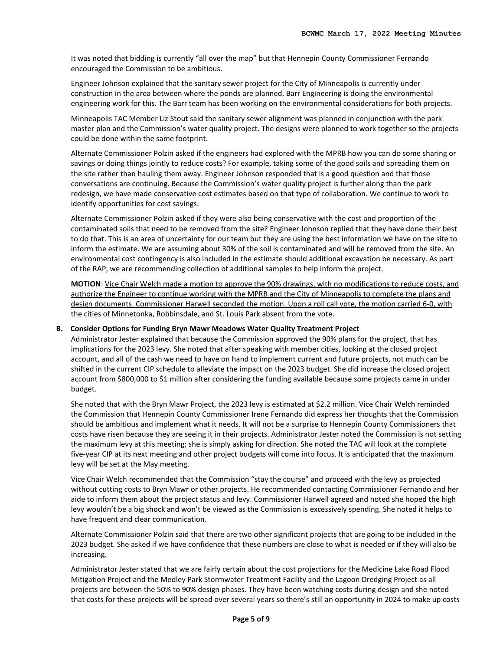It was noted that bidding is currently "all over the map" but that Hennepin County Commissioner Fernando encouraged the Commission to be ambitious.

Engineer Johnson explained that the sanitary sewer project for the City of Minneapolis is currently under construction in the area between where the ponds are planned. Barr Engineering is doing the environmental engineering work for this. The Barr team has been working on the environmental considerations for both projects.

Minneapolis TAC Member Liz Stout said the sanitary sewer alignment was planned in conjunction with the park master plan and the Commission's water quality project. The designs were planned to work together so the projects could be done within the same footprint.

Alternate Commissioner Polzin asked if the engineers had explored with the MPRB how you can do some sharing or savings or doing things jointly to reduce costs? For example, taking some of the good soils and spreading them on the site rather than hauling them away. Engineer Johnson responded that is a good question and that those conversations are continuing. Because the Commission's water quality project is further along than the park redesign, we have made conservative cost estimates based on that type of collaboration. We continue to work to identify opportunities for cost savings.

Alternate Commissioner Polzin asked if they were also being conservative with the cost and proportion of the contaminated soils that need to be removed from the site? Engineer Johnson replied that they have done their best to do that. This is an area of uncertainty for our team but they are using the best information we have on the site to inform the estimate. We are assuming about 30% of the soil is contaminated and will be removed from the site. An environmental cost contingency is also included in the estimate should additional excavation be necessary. As part of the RAP, we are recommending collection of additional samples to help inform the project.

**MOTION**: Vice Chair Welch made a motion to approve the 90% drawings, with no modifications to reduce costs, and authorize the Engineer to continue working with the MPRB and the City of Minneapolis to complete the plans and design documents. Commissioner Harwell seconded the motion. Upon a roll call vote, the motion carried 6-0, with the cities of Minnetonka, Robbinsdale, and St. Louis Park absent from the vote.

### **B. Consider Options for Funding Bryn Mawr Meadows Water Quality Treatment Project**

Administrator Jester explained that because the Commission approved the 90% plans for the project, that has implications for the 2023 levy. She noted that after speaking with member cities, looking at the closed project account, and all of the cash we need to have on hand to implement current and future projects, not much can be shifted in the current CIP schedule to alleviate the impact on the 2023 budget. She did increase the closed project account from \$800,000 to \$1 million after considering the funding available because some projects came in under budget.

She noted that with the Bryn Mawr Project, the 2023 levy is estimated at \$2.2 million. Vice Chair Welch reminded the Commission that Hennepin County Commissioner Irene Fernando did express her thoughts that the Commission should be ambitious and implement what it needs. It will not be a surprise to Hennepin County Commissioners that costs have risen because they are seeing it in their projects. Administrator Jester noted the Commission is not setting the maximum levy at this meeting; she is simply asking for direction. She noted the TAC will look at the complete five-year CIP at its next meeting and other project budgets will come into focus. It is anticipated that the maximum levy will be set at the May meeting.

Vice Chair Welch recommended that the Commission "stay the course" and proceed with the levy as projected without cutting costs to Bryn Mawr or other projects. He recommended contacting Commissioner Fernando and her aide to inform them about the project status and levy. Commissioner Harwell agreed and noted she hoped the high levy wouldn't be a big shock and won't be viewed as the Commission is excessively spending. She noted it helps to have frequent and clear communication.

Alternate Commissioner Polzin said that there are two other significant projects that are going to be included in the 2023 budget. She asked if we have confidence that these numbers are close to what is needed or if they will also be increasing.

Administrator Jester stated that we are fairly certain about the cost projections for the Medicine Lake Road Flood Mitigation Project and the Medley Park Stormwater Treatment Facility and the Lagoon Dredging Project as all projects are between the 50% to 90% design phases. They have been watching costs during design and she noted that costs for these projects will be spread over several years so there's still an opportunity in 2024 to make up costs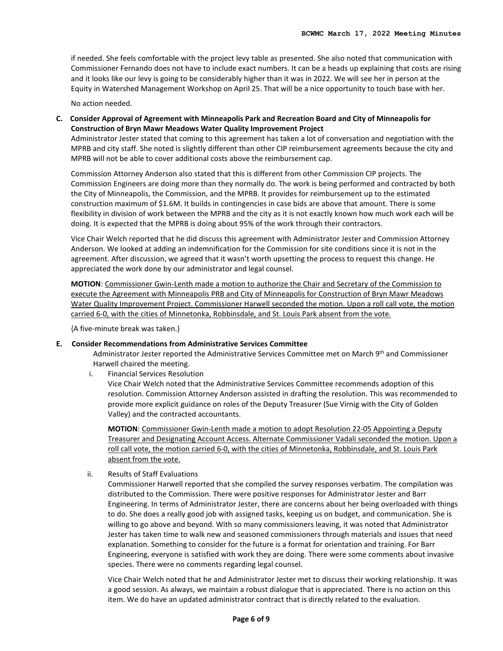if needed. She feels comfortable with the project levy table as presented. She also noted that communication with Commissioner Fernando does not have to include exact numbers. It can be a heads up explaining that costs are rising and it looks like our levy is going to be considerably higher than it was in 2022. We will see her in person at the Equity in Watershed Management Workshop on April 25. That will be a nice opportunity to touch base with her.

No action needed.

**C. Consider Approval of Agreement with Minneapolis Park and Recreation Board and City of Minneapolis for Construction of Bryn Mawr Meadows Water Quality Improvement Project**

Administrator Jester stated that coming to this agreement has taken a lot of conversation and negotiation with the MPRB and city staff. She noted is slightly different than other CIP reimbursement agreements because the city and MPRB will not be able to cover additional costs above the reimbursement cap.

Commission Attorney Anderson also stated that this is different from other Commission CIP projects. The Commission Engineers are doing more than they normally do. The work is being performed and contracted by both the City of Minneapolis, the Commission, and the MPRB. It provides for reimbursement up to the estimated construction maximum of \$1.6M. It builds in contingencies in case bids are above that amount. There is some flexibility in division of work between the MPRB and the city as it is not exactly known how much work each will be doing. It is expected that the MPRB is doing about 95% of the work through their contractors.

Vice Chair Welch reported that he did discuss this agreement with Administrator Jester and Commission Attorney Anderson. We looked at adding an indemnification for the Commission for site conditions since it is not in the agreement. After discussion, we agreed that it wasn't worth upsetting the process to request this change. He appreciated the work done by our administrator and legal counsel.

**MOTION**: Commissioner Gwin-Lenth made a motion to authorize the Chair and Secretary of the Commission to execute the Agreement with Minneapolis PRB and City of Minneapolis for Construction of Bryn Mawr Meadows Water Quality Improvement Project. Commissioner Harwell seconded the motion. Upon a roll call vote, the motion carried 6-0, with the cities of Minnetonka, Robbinsdale, and St. Louis Park absent from the vote.

{A five-minute break was taken.}

### **E. Consider Recommendations from Administrative Services Committee**

Administrator Jester reported the Administrative Services Committee met on March 9th and Commissioner Harwell chaired the meeting.

i. Financial Services Resolution

Vice Chair Welch noted that the Administrative Services Committee recommends adoption of this resolution. Commission Attorney Anderson assisted in drafting the resolution. This was recommended to provide more explicit guidance on roles of the Deputy Treasurer (Sue Virnig with the City of Golden Valley) and the contracted accountants.

**MOTION**: Commissioner Gwin-Lenth made a motion to adopt Resolution 22-05 Appointing a Deputy Treasurer and Designating Account Access. Alternate Commissioner Vadali seconded the motion. Upon a roll call vote, the motion carried 6-0, with the cities of Minnetonka, Robbinsdale, and St. Louis Park absent from the vote.

ii. Results of Staff Evaluations

Commissioner Harwell reported that she compiled the survey responses verbatim. The compilation was distributed to the Commission. There were positive responses for Administrator Jester and Barr Engineering. In terms of Administrator Jester, there are concerns about her being overloaded with things to do. She does a really good job with assigned tasks, keeping us on budget, and communication. She is willing to go above and beyond. With so many commissioners leaving, it was noted that Administrator Jester has taken time to walk new and seasoned commissioners through materials and issues that need explanation. Something to consider for the future is a format for orientation and training. For Barr Engineering, everyone is satisfied with work they are doing. There were some comments about invasive species. There were no comments regarding legal counsel.

Vice Chair Welch noted that he and Administrator Jester met to discuss their working relationship. It was a good session. As always, we maintain a robust dialogue that is appreciated. There is no action on this item. We do have an updated administrator contract that is directly related to the evaluation.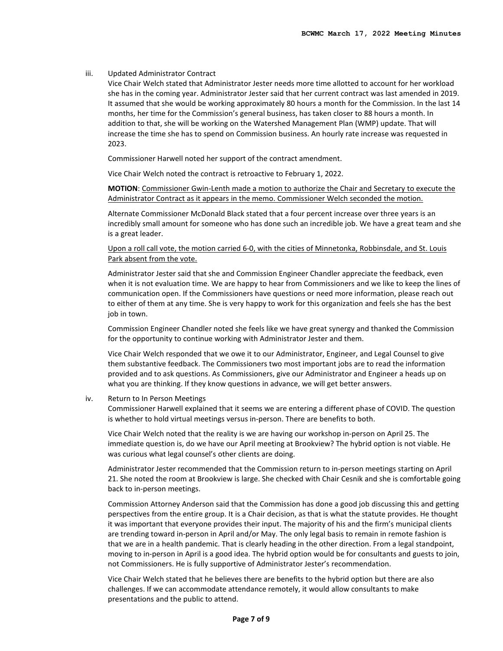### iii. Updated Administrator Contract

Vice Chair Welch stated that Administrator Jester needs more time allotted to account for her workload she has in the coming year. Administrator Jester said that her current contract was last amended in 2019. It assumed that she would be working approximately 80 hours a month for the Commission. In the last 14 months, her time for the Commission's general business, has taken closer to 88 hours a month. In addition to that, she will be working on the Watershed Management Plan (WMP) update. That will increase the time she has to spend on Commission business. An hourly rate increase was requested in 2023.

Commissioner Harwell noted her support of the contract amendment.

Vice Chair Welch noted the contract is retroactive to February 1, 2022.

**MOTION**: Commissioner Gwin-Lenth made a motion to authorize the Chair and Secretary to execute the Administrator Contract as it appears in the memo. Commissioner Welch seconded the motion.

Alternate Commissioner McDonald Black stated that a four percent increase over three years is an incredibly small amount for someone who has done such an incredible job. We have a great team and she is a great leader.

### Upon a roll call vote, the motion carried 6-0, with the cities of Minnetonka, Robbinsdale, and St. Louis Park absent from the vote.

Administrator Jester said that she and Commission Engineer Chandler appreciate the feedback, even when it is not evaluation time. We are happy to hear from Commissioners and we like to keep the lines of communication open. If the Commissioners have questions or need more information, please reach out to either of them at any time. She is very happy to work for this organization and feels she has the best job in town.

Commission Engineer Chandler noted she feels like we have great synergy and thanked the Commission for the opportunity to continue working with Administrator Jester and them.

Vice Chair Welch responded that we owe it to our Administrator, Engineer, and Legal Counsel to give them substantive feedback. The Commissioners two most important jobs are to read the information provided and to ask questions. As Commissioners, give our Administrator and Engineer a heads up on what you are thinking. If they know questions in advance, we will get better answers.

#### iv. Return to In Person Meetings

Commissioner Harwell explained that it seems we are entering a different phase of COVID. The question is whether to hold virtual meetings versus in-person. There are benefits to both.

Vice Chair Welch noted that the reality is we are having our workshop in-person on April 25. The immediate question is, do we have our April meeting at Brookview? The hybrid option is not viable. He was curious what legal counsel's other clients are doing.

Administrator Jester recommended that the Commission return to in-person meetings starting on April 21. She noted the room at Brookview is large. She checked with Chair Cesnik and she is comfortable going back to in-person meetings.

Commission Attorney Anderson said that the Commission has done a good job discussing this and getting perspectives from the entire group. It is a Chair decision, as that is what the statute provides. He thought it was important that everyone provides their input. The majority of his and the firm's municipal clients are trending toward in-person in April and/or May. The only legal basis to remain in remote fashion is that we are in a health pandemic. That is clearly heading in the other direction. From a legal standpoint, moving to in-person in April is a good idea. The hybrid option would be for consultants and guests to join, not Commissioners. He is fully supportive of Administrator Jester's recommendation.

Vice Chair Welch stated that he believes there are benefits to the hybrid option but there are also challenges. If we can accommodate attendance remotely, it would allow consultants to make presentations and the public to attend.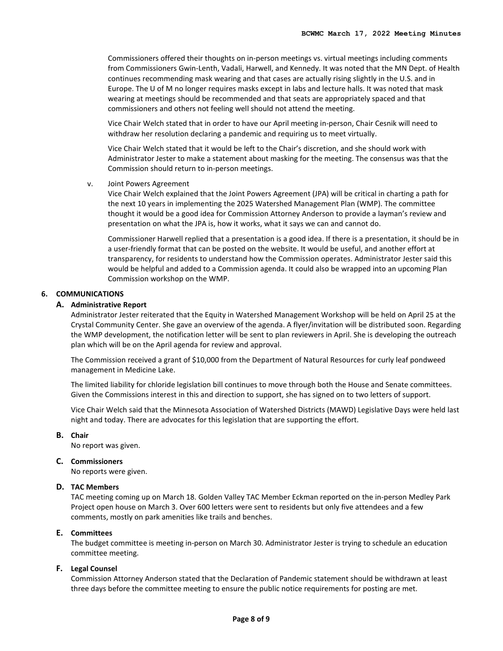Commissioners offered their thoughts on in-person meetings vs. virtual meetings including comments from Commissioners Gwin-Lenth, Vadali, Harwell, and Kennedy. It was noted that the MN Dept. of Health continues recommending mask wearing and that cases are actually rising slightly in the U.S. and in Europe. The U of M no longer requires masks except in labs and lecture halls. It was noted that mask wearing at meetings should be recommended and that seats are appropriately spaced and that commissioners and others not feeling well should not attend the meeting.

Vice Chair Welch stated that in order to have our April meeting in-person, Chair Cesnik will need to withdraw her resolution declaring a pandemic and requiring us to meet virtually.

Vice Chair Welch stated that it would be left to the Chair's discretion, and she should work with Administrator Jester to make a statement about masking for the meeting. The consensus was that the Commission should return to in-person meetings.

v. Joint Powers Agreement

Vice Chair Welch explained that the Joint Powers Agreement (JPA) will be critical in charting a path for the next 10 years in implementing the 2025 Watershed Management Plan (WMP). The committee thought it would be a good idea for Commission Attorney Anderson to provide a layman's review and presentation on what the JPA is, how it works, what it says we can and cannot do.

Commissioner Harwell replied that a presentation is a good idea. If there is a presentation, it should be in a user-friendly format that can be posted on the website. It would be useful, and another effort at transparency, for residents to understand how the Commission operates. Administrator Jester said this would be helpful and added to a Commission agenda. It could also be wrapped into an upcoming Plan Commission workshop on the WMP.

### **6. COMMUNICATIONS**

#### **A. Administrative Report**

Administrator Jester reiterated that the Equity in Watershed Management Workshop will be held on April 25 at the Crystal Community Center. She gave an overview of the agenda. A flyer/invitation will be distributed soon. Regarding the WMP development, the notification letter will be sent to plan reviewers in April. She is developing the outreach plan which will be on the April agenda for review and approval.

The Commission received a grant of \$10,000 from the Department of Natural Resources for curly leaf pondweed management in Medicine Lake.

The limited liability for chloride legislation bill continues to move through both the House and Senate committees. Given the Commissions interest in this and direction to support, she has signed on to two letters of support.

Vice Chair Welch said that the Minnesota Association of Watershed Districts (MAWD) Legislative Days were held last night and today. There are advocates for this legislation that are supporting the effort.

### **B. Chair**

No report was given.

### **C. Commissioners**

No reports were given.

### **D. TAC Members**

TAC meeting coming up on March 18. Golden Valley TAC Member Eckman reported on the in-person Medley Park Project open house on March 3. Over 600 letters were sent to residents but only five attendees and a few comments, mostly on park amenities like trails and benches.

### **E. Committees**

The budget committee is meeting in-person on March 30. Administrator Jester is trying to schedule an education committee meeting.

### **F. Legal Counsel**

Commission Attorney Anderson stated that the Declaration of Pandemic statement should be withdrawn at least three days before the committee meeting to ensure the public notice requirements for posting are met.